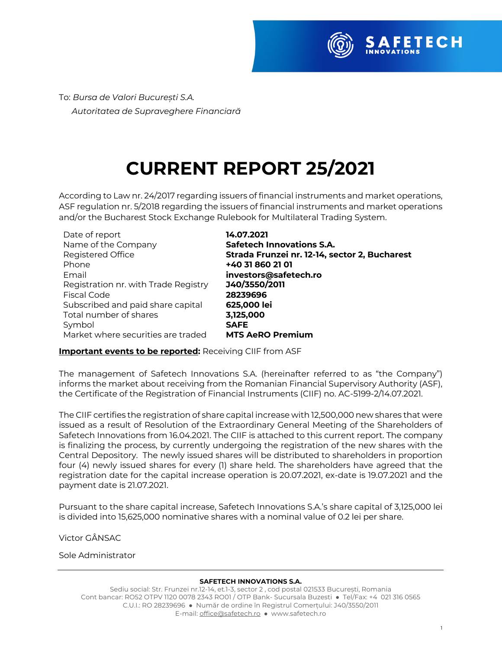

To: *Bursa de Valori București S.A. Autoritatea de Supraveghere Financiară*

# **CURRENT REPORT 25/2021**

According to Law nr. 24/2017 regarding issuers of financial instruments and market operations, ASF regulation nr. 5/2018 regarding the issuers of financial instruments and market operations and/or the Bucharest Stock Exchange Rulebook for Multilateral Trading System.

| Date of report                       | 14.07.2021                                    |
|--------------------------------------|-----------------------------------------------|
| Name of the Company                  | <b>Safetech Innovations S.A.</b>              |
| Registered Office                    | Strada Frunzei nr. 12-14, sector 2, Bucharest |
| Phone                                | +40 31 860 21 01                              |
| Email                                | investors@safetech.ro                         |
| Registration nr. with Trade Registry | J40/3550/2011                                 |
| <b>Fiscal Code</b>                   | 28239696                                      |
| Subscribed and paid share capital    | 625,000 lei                                   |
| Total number of shares               | 3,125,000                                     |
| Symbol                               | <b>SAFE</b>                                   |
| Market where securities are traded   | <b>MTS AeRO Premium</b>                       |

**Important events to be reported:** Receiving CIIF from ASF

The management of Safetech Innovations S.A. (hereinafter referred to as "the Company") informs the market about receiving from the Romanian Financial Supervisory Authority (ASF), the Certificate of the Registration of Financial Instruments (CIIF) no. AC-5199-2/14.07.2021.

The CIIF certifies the registration of share capital increase with 12,500,000 new shares that were issued as a result of Resolution of the Extraordinary General Meeting of the Shareholders of Safetech Innovations from 16.04.2021. The CIIF is attached to this current report. The company is finalizing the process, by currently undergoing the registration of the new shares with the Central Depository. The newly issued shares will be distributed to shareholders in proportion four (4) newly issued shares for every (1) share held. The shareholders have agreed that the registration date for the capital increase operation is 20.07.2021, ex-date is 19.07.2021 and the payment date is 21.07.2021.

Pursuant to the share capital increase, Safetech Innovations S.A.'s share capital of 3,125,000 lei is divided into 15,625,000 nominative shares with a nominal value of 0.2 lei per share.

Victor GÂNSAC

Sole Administrator

#### **SAFETECH INNOVATIONS S.A.**

Sediu social: Str. Frunzei nr.12-14, et.1-3, sector 2 , cod postal 021533 București, Romania Cont bancar: RO52 OTPV 1120 0078 2343 RO01 / OTP Bank- Sucursala Buzesti ● Tel/Fax: +4 021 316 0565 C.U.I.: RO 28239696 ● Număr de ordine în Registrul Comerțului: J40/3550/2011 E-mail: office@safetech.ro ● www.safetech.ro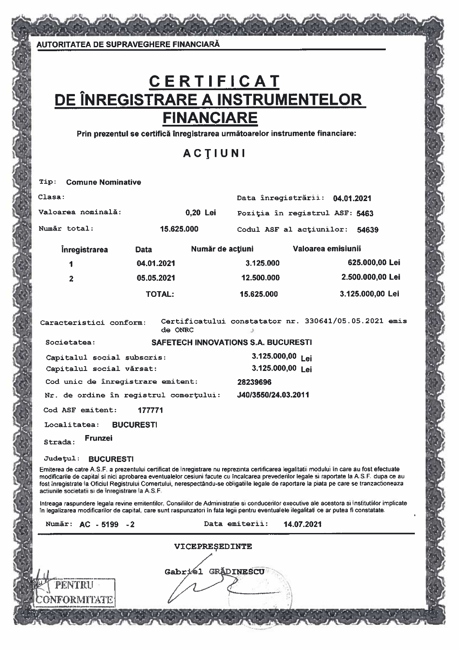**AUTORITATEA DE SUPRAVEGHERE FINANCIARĂ** 

# C E R T I F I C A T<br>DE ÎNREGISTRARE A INSTRUMENTELOR **FINANCIARE**

Prin prezentul se certifică înregistrarea următoarelor instrumente financiare:

ACTIUNI

| Tip:                                                                                                                                                                                                                                                                                                                                                                                                                                                                                      |               | <b>Comune Nominative</b> |                          |                                            |                                   |                                   |                                |                  |                  |  |
|-------------------------------------------------------------------------------------------------------------------------------------------------------------------------------------------------------------------------------------------------------------------------------------------------------------------------------------------------------------------------------------------------------------------------------------------------------------------------------------------|---------------|--------------------------|--------------------------|--------------------------------------------|-----------------------------------|-----------------------------------|--------------------------------|------------------|------------------|--|
| Clasa:                                                                                                                                                                                                                                                                                                                                                                                                                                                                                    |               |                          |                          |                                            | Data înregistrării:<br>04.01.2021 |                                   |                                |                  |                  |  |
|                                                                                                                                                                                                                                                                                                                                                                                                                                                                                           |               | Valoarea nominală:       |                          | 0,20 Lei                                   |                                   |                                   | Poziția în registrul ASF: 5463 |                  |                  |  |
| Număr total:                                                                                                                                                                                                                                                                                                                                                                                                                                                                              |               |                          |                          | 15.625.000                                 |                                   | Codul ASF al actiunilor:<br>54639 |                                |                  |                  |  |
|                                                                                                                                                                                                                                                                                                                                                                                                                                                                                           |               | <b>Inregistrarea</b>     | Data                     |                                            | Număr de acțiuni                  | Valoarea emisiunii                |                                |                  |                  |  |
|                                                                                                                                                                                                                                                                                                                                                                                                                                                                                           | 1             |                          | 04.01.2021               |                                            |                                   | 3.125.000                         |                                |                  | 625.000,00 Lei   |  |
|                                                                                                                                                                                                                                                                                                                                                                                                                                                                                           | 2             |                          | 05.05.2021               |                                            |                                   | 12.500.000                        |                                |                  | 2.500.000,00 Lei |  |
|                                                                                                                                                                                                                                                                                                                                                                                                                                                                                           | <b>TOTAL:</b> |                          |                          |                                            | 15.625.000                        |                                   |                                | 3.125.000,00 Lei |                  |  |
| Certificatului constatator nr. 330641/05.05.2021 emis<br>Caracteristici conform:<br>de ONRC<br>ر                                                                                                                                                                                                                                                                                                                                                                                          |               |                          |                          |                                            |                                   |                                   |                                |                  |                  |  |
| Societatea:                                                                                                                                                                                                                                                                                                                                                                                                                                                                               |               |                          |                          | <b>SAFETECH INNOVATIONS S.A. BUCURESTI</b> |                                   |                                   |                                |                  |                  |  |
| Capitalul social subscris:                                                                                                                                                                                                                                                                                                                                                                                                                                                                |               |                          |                          |                                            |                                   | 3.125.000,00 Lei                  |                                |                  |                  |  |
|                                                                                                                                                                                                                                                                                                                                                                                                                                                                                           |               |                          | Capitalul social vărsat: |                                            |                                   |                                   | 3.125.000,00 Lei               |                  |                  |  |
| Cod unic de înregistrare emitent:<br>28239696                                                                                                                                                                                                                                                                                                                                                                                                                                             |               |                          |                          |                                            |                                   |                                   |                                |                  |                  |  |
| J40/3550/24.03.2011<br>Nr. de ordine în registrul comerțului:                                                                                                                                                                                                                                                                                                                                                                                                                             |               |                          |                          |                                            |                                   |                                   |                                |                  |                  |  |
| Cod ASF emitent:<br>177771                                                                                                                                                                                                                                                                                                                                                                                                                                                                |               |                          |                          |                                            |                                   |                                   |                                |                  |                  |  |
| Localitatea:<br><b>BUCURESTI</b>                                                                                                                                                                                                                                                                                                                                                                                                                                                          |               |                          |                          |                                            |                                   |                                   |                                |                  |                  |  |
| <b>Frunzei</b><br>Strada:                                                                                                                                                                                                                                                                                                                                                                                                                                                                 |               |                          |                          |                                            |                                   |                                   |                                |                  |                  |  |
| <b>Judetul:</b><br><b>BUCURESTI</b>                                                                                                                                                                                                                                                                                                                                                                                                                                                       |               |                          |                          |                                            |                                   |                                   |                                |                  |                  |  |
| Emiterea de catre A.S.F. a prezentului certificat de inregistrare nu reprezinta certificarea legalitatii modului în care au fost efectuate<br>modificarile de capital si nici aprobarea eventualelor cesiuni facute cu încalcarea prevederilor legale si raportate la A.S.F. dupa ce au<br>fost înregistrate la Oficiul Registrului Comertului, nerespectându-se obligatille legale de raportare la piata pe care se tranzactioneaza<br>actiunile societatii si de inregistrare la A.S.F. |               |                          |                          |                                            |                                   |                                   |                                |                  |                  |  |
| Intreaga raspundere legala revine emitentilor, Consiliilor de Administratie si conducerilor executive ale acestora si institutiilor implicate<br>în legalizarea modificarilor de capital, care sunt raspunzatori în fata legii pentru eventualele ilegalitati ce ar putea fi constatate.                                                                                                                                                                                                  |               |                          |                          |                                            |                                   |                                   |                                |                  |                  |  |
|                                                                                                                                                                                                                                                                                                                                                                                                                                                                                           |               | Număr: AC - 5199 - 2     |                          |                                            |                                   | Data emiterii:                    | 14.07.2021                     |                  |                  |  |
| VICEPREȘEDINTE                                                                                                                                                                                                                                                                                                                                                                                                                                                                            |               |                          |                          |                                            |                                   |                                   |                                |                  |                  |  |
| Gabriél GRADINESCU<br>PENTRU                                                                                                                                                                                                                                                                                                                                                                                                                                                              |               |                          |                          |                                            |                                   |                                   |                                |                  |                  |  |
| <b>CONFORMITATE</b>                                                                                                                                                                                                                                                                                                                                                                                                                                                                       |               |                          |                          |                                            |                                   |                                   |                                |                  |                  |  |